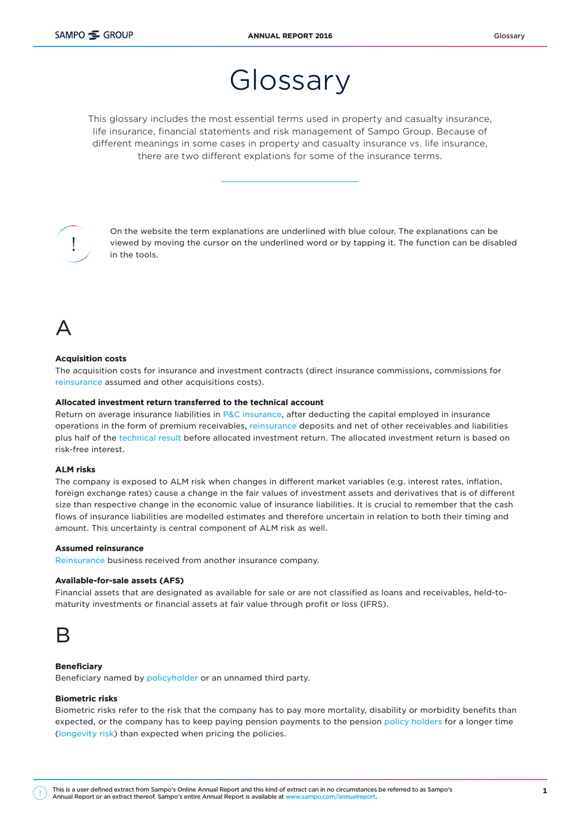# Glossary

This glossary includes the most essential terms used in property and casualty insurance, life insurance, financial statements and risk management of Sampo Group. Because of different meanings in some cases in property and casualty insurance vs. life insurance, there are two different explations for some of the insurance terms.



On the website the term explanations are underlined with blue colour. The explanations can be viewed by moving the cursor on the underlined word or by tapping it. The function can be disabled in the tools.

# $\Delta$

#### Acquisition costs

The acquisition costs for insurance and investment contracts (direct insurance commissions, commissions for [reinsurance](https://ar2016.sampo.com/en/other-pages/glossary/#Reinsurance) assumed and other acquisitions costs).

#### Allocated investment return transferred to the technical account

Return on average insurance liabilities in [P&C insurance,](https://ar2016.sampo.com/en/other-pages/glossary/#Property-and-casualty-insurance) after deducting the capital employed in insurance operations in the form of premium receivables, [reinsurance](https://ar2016.sampo.com/en/other-pages/glossary/#Reinsurance) deposits and net of other receivables and liabilities plus half of the [technical result](https://ar2016.sampo.com/en/other-pages/glossary/#Technical-result) before allocated investment return. The allocated investment return is based on risk-free interest.

#### ALM risks

The company is exposed to ALM risk when changes in different market variables (e.g. interest rates, inflation, foreign exchange rates) cause a change in the fair values of investment assets and derivatives that is of different size than respective change in the economic value of insurance liabilities. It is crucial to remember that the cash flows of insurance liabilities are modelled estimates and therefore uncertain in relation to both their timing and amount. This uncertainty is central component of ALM risk as well.

#### Assumed reinsurance

[Reinsurance](https://ar2016.sampo.com/en/other-pages/glossary/#Reinsurance) business received from another insurance company.

#### Available-for-sale assets (AFS)

Financial assets that are designated as available for sale or are not classified as loans and receivables, held-tomaturity investments or financial assets at fair value through profit or loss (IFRS).



#### **Beneficiary**

Beneficiary named by [policyholder](https://ar2016.sampo.com/en/other-pages/glossary/#Policyholder) or an unnamed third party.

#### Biometric risks

Biometric risks refer to the risk that the company has to pay more mortality, disability or morbidity benefits than expected, or the company has to keep paying pension payments to the pension [policy holders](https://ar2016.sampo.com/en/other-pages/glossary/#Policyholder) for a longer time [\(longevity risk\)](https://ar2016.sampo.com/en/other-pages/glossary/#Longevity-risk) than expected when pricing the policies.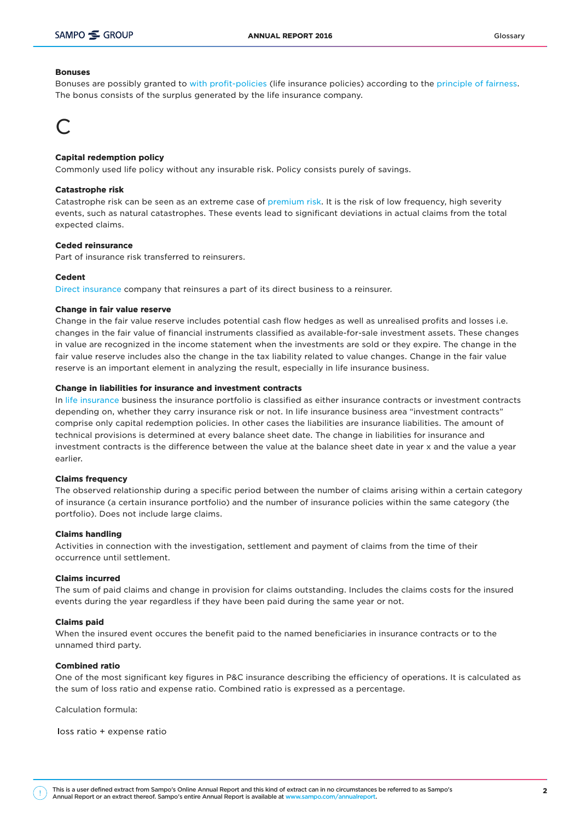#### **Bonuses**

Bonuses are possibly granted to [with profit-policies](https://ar2016.sampo.com/en/other-pages/glossary/#With-profit-policy) (life insurance policies) according to the [principle of fairness.](https://ar2016.sampo.com/en/other-pages/glossary/#Principle-of-fairness) The bonus consists of the surplus generated by the life insurance company.

### C

#### Capital redemption policy

Commonly used life policy without any insurable risk. Policy consists purely of savings.

#### Catastrophe risk

Catastrophe risk can be seen as an extreme case of [premium risk](https://ar2016.sampo.com/en/other-pages/glossary/#Premium-risk). It is the risk of low frequency, high severity events, such as natural catastrophes. These events lead to significant deviations in actual claims from the total expected claims.

#### Ceded reinsurance

Part of insurance risk transferred to reinsurers.

#### Cedent

[Direct insurance](https://ar2016.sampo.com/en/other-pages/glossary/#Direct-insurance) company that reinsures a part of its direct business to a reinsurer.

#### Change in fair value reserve

Change in the fair value reserve includes potential cash flow hedges as well as unrealised profits and losses i.e. changes in the fair value of financial instruments classified as available-for-sale investment assets. These changes in value are recognized in the income statement when the investments are sold or they expire. The change in the fair value reserve includes also the change in the tax liability related to value changes. Change in the fair value reserve is an important element in analyzing the result, especially in life insurance business.

#### Change in liabilities for insurance and investment contracts

In [life insurance](https://ar2016.sampo.com/en/other-pages/glossary/#Life-insurance) business the insurance portfolio is classified as either insurance contracts or investment contracts depending on, whether they carry insurance risk or not. In life insurance business area "investment contracts" comprise only capital redemption policies. In other cases the liabilities are insurance liabilities. The amount of technical provisions is determined at every balance sheet date. The change in liabilities for insurance and investment contracts is the difference between the value at the balance sheet date in year x and the value a year earlier.

#### Claims frequency

The observed relationship during a specific period between the number of claims arising within a certain category of insurance (a certain insurance portfolio) and the number of insurance policies within the same category (the portfolio). Does not include large claims.

#### Claims handling

Activities in connection with the investigation, settlement and payment of claims from the time of their occurrence until settlement.

#### Claims incurred

The sum of paid claims and change in provision for claims outstanding. Includes the claims costs for the insured events during the year regardless if they have been paid during the same year or not.

#### Claims paid

When the insured event occures the benefit paid to the named beneficiaries in insurance contracts or to the unnamed third party.

#### Combined ratio

One of the most significant key figures in P&C insurance describing the efficiency of operations. It is calculated as the sum of loss ratio and expense ratio. Combined ratio is expressed as a percentage.

Calculation formula:

loss ratio + expense ratio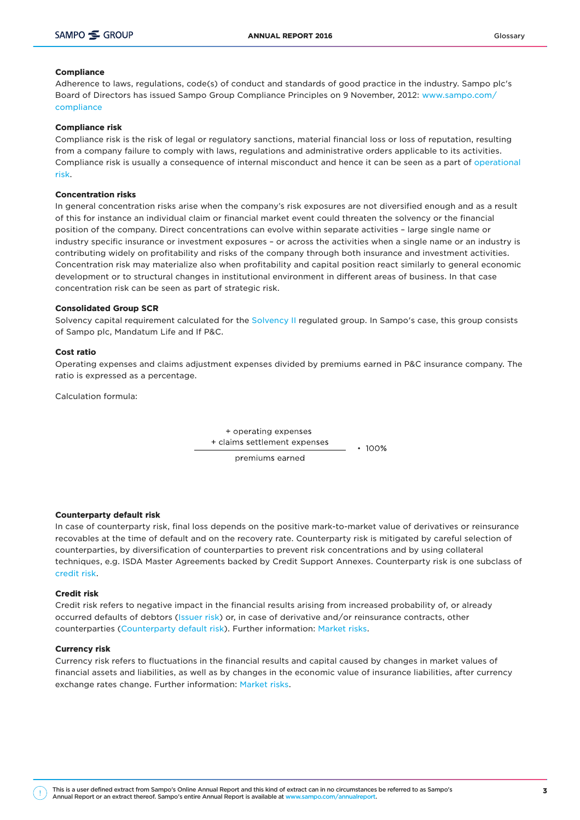#### Compliance

Adherence to laws, regulations, code(s) of conduct and standards of good practice in the industry. Sampo plc's Board of Directors has issued Sampo Group Compliance Principles on 9 November, 2012: [www.sampo.com/](http://www.sampo.com/compliance) [compliance](http://www.sampo.com/compliance)

#### Compliance risk

Compliance risk is the risk of legal or regulatory sanctions, material financial loss or loss of reputation, resulting from a company failure to comply with laws, regulations and administrative orders applicable to its activities. Compliance risk is usually a consequence of internal misconduct and hence it can be seen as a part of [operational](https://ar2016.sampo.com/en/other-pages/glossary/#Operational-risks) [risk.](https://ar2016.sampo.com/en/other-pages/glossary/#Operational-risks)

#### Concentration risks

In general concentration risks arise when the company's risk exposures are not diversified enough and as a result of this for instance an individual claim or financial market event could threaten the solvency or the financial position of the company. Direct concentrations can evolve within separate activities – large single name or industry specific insurance or investment exposures – or across the activities when a single name or an industry is contributing widely on profitability and risks of the company through both insurance and investment activities. Concentration risk may materialize also when profitability and capital position react similarly to general economic development or to structural changes in institutional environment in different areas of business. In that case concentration risk can be seen as part of strategic risk.

#### Consolidated Group SCR

Solvency capital requirement calculated for the [Solvency II](https://ar2016.sampo.com/en/other-pages/glossary/#Solvency-II) regulated group. In Sampo's case, this group consists of Sampo plc, Mandatum Life and If P&C.

#### Cost ratio

Operating expenses and claims adjustment expenses divided by premiums earned in P&C insurance company. The ratio is expressed as a percentage.

Calculation formula:

+ operating expenses + claims settlement expenses  $• 100%$ 

premiums earned

Counterparty default risk

In case of counterparty risk, final loss depends on the positive mark-to-market value of derivatives or reinsurance recovables at the time of default and on the recovery rate. Counterparty risk is mitigated by careful selection of counterparties, by diversification of counterparties to prevent risk concentrations and by using collateral techniques, e.g. ISDA Master Agreements backed by Credit Support Annexes. Counterparty risk is one subclass of [credit risk.](https://ar2016.sampo.com/en/other-pages/glossary/#Credit-risk)

#### Credit risk

Credit risk refers to negative impact in the financial results arising from increased probability of, or already occurred defaults of debtors [\(Issuer risk](https://ar2016.sampo.com/en/other-pages/glossary/#Issuer-risk)) or, in case of derivative and/or reinsurance contracts, other counterparties [\(Counterparty default risk\)](https://ar2016.sampo.com/en/other-pages/glossary/#Counterparty-default-risk). Further information: [Market risks.](https://ar2016.sampo.com/en/other-pages/glossary/#Market-risks)

#### Currency risk

Currency risk refers to fluctuations in the financial results and capital caused by changes in market values of financial assets and liabilities, as well as by changes in the economic value of insurance liabilities, after currency exchange rates change. Further information: [Market risks](https://ar2016.sampo.com/en/other-pages/glossary/#Market-risks).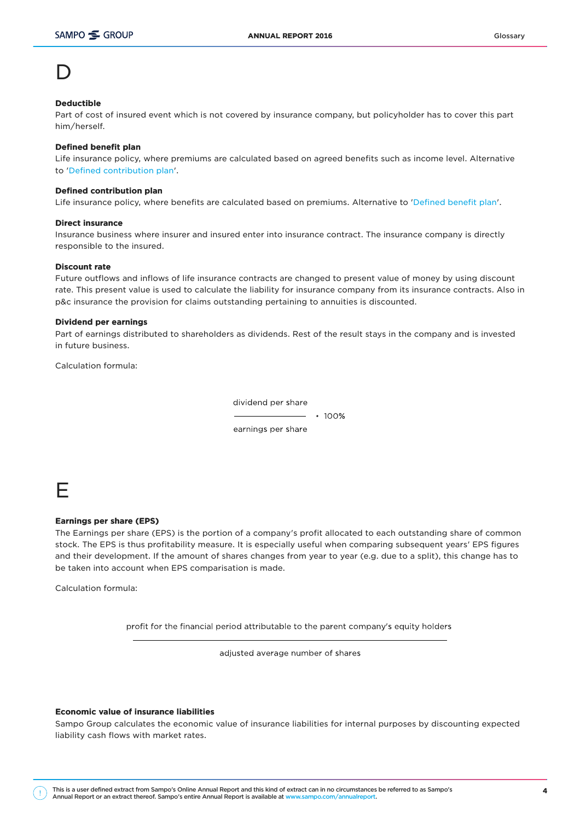### D

#### Deductible

Part of cost of insured event which is not covered by insurance company, but policyholder has to cover this part him/herself.

#### Defined benefit plan

Life insurance policy, where premiums are calculated based on agreed benefits such as income level. Alternative to '[Defined contribution plan](https://ar2016.sampo.com/en/other-pages/glossary/#Defined-contribution-plan)'.

#### Defined contribution plan

Life insurance policy, where benefits are calculated based on premiums. Alternative to '[Defined benefit plan](https://ar2016.sampo.com/en/other-pages/glossary/#Defined-benefit-plan)'.

#### Direct incurance

Insurance business where insurer and insured enter into insurance contract. The insurance company is directly responsible to the insured.

#### Discount rate

Future outflows and inflows of life insurance contracts are changed to present value of money by using discount rate. This present value is used to calculate the liability for insurance company from its insurance contracts. Also in p&c insurance the provision for claims outstanding pertaining to annuities is discounted.

#### Dividend per earnings

Part of earnings distributed to shareholders as dividends. Rest of the result stays in the company and is invested in future business.

Calculation formula:

dividend per share

 $• 100%$ 

earnings per share

### E

#### Earnings per share (EPS)

The Earnings per share (EPS) is the portion of a company's profit allocated to each outstanding share of common stock. The EPS is thus profitability measure. It is especially useful when comparing subsequent years' EPS figures and their development. If the amount of shares changes from year to year (e.g. due to a split), this change has to be taken into account when EPS comparisation is made.

Calculation formula:

profit for the financial period attributable to the parent company's equity holders

adjusted average number of shares

#### Economic value of insurance liabilities

Sampo Group calculates the economic value of insurance liabilities for internal purposes by discounting expected liability cash flows with market rates.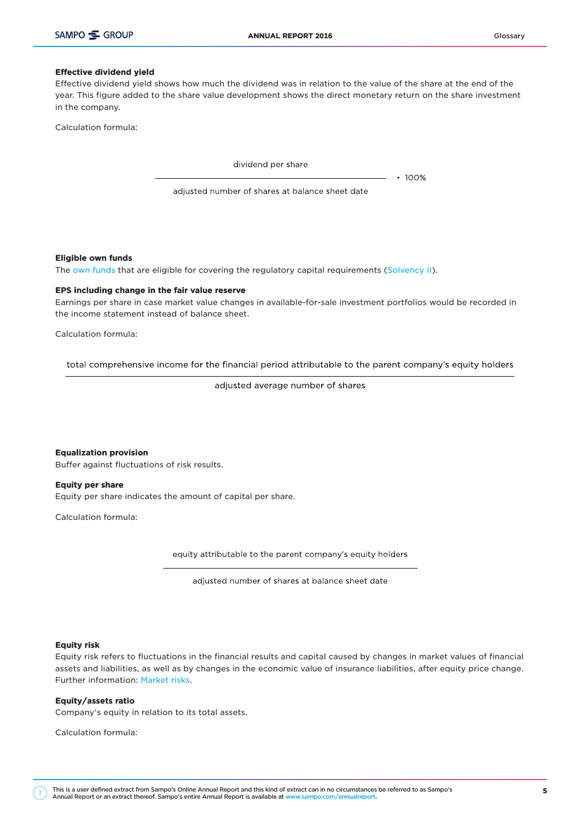#### Effective dividend yield

Effective dividend yield shows how much the dividend was in relation to the value of the share at the end of the year. This figure added to the share value development shows the direct monetary return on the share investment in the company.

Calculation formula:

dividend per share

 $• 100%$ 

adjusted number of shares at balance sheet date

Eligible own funds

The [own funds](https://ar2016.sampo.com/en/other-pages/glossary/#Own-funds) that are eligible for covering the regulatory capital requirements [\(Solvency II](https://ar2016.sampo.com/en/other-pages/glossary/#Solvency-II)).

#### EPS including change in the fair value reserve

Earnings per share in case market value changes in available-for-sale investment portfolios would be recorded in the income statement instead of balance sheet.

Calculation formula:

total comprehensive income for the financial period attributable to the parent company's equity holders

adjusted average number of shares

Equalization provision Buffer against fluctuations of risk results.

Equity per share Equity per share indicates the amount of capital per share.

Calculation formula:

equity attributable to the parent company's equity holders

adjusted number of shares at balance sheet date

#### Equity risk

Equity risk refers to fluctuations in the financial results and capital caused by changes in market values of financial assets and liabilities, as well as by changes in the economic value of insurance liabilities, after equity price change. Further information: [Market risks.](https://ar2016.sampo.com/en/other-pages/glossary/#Market-risks)

#### Equity/assets ratio

Company's equity in relation to its total assets.

Calculation formula:

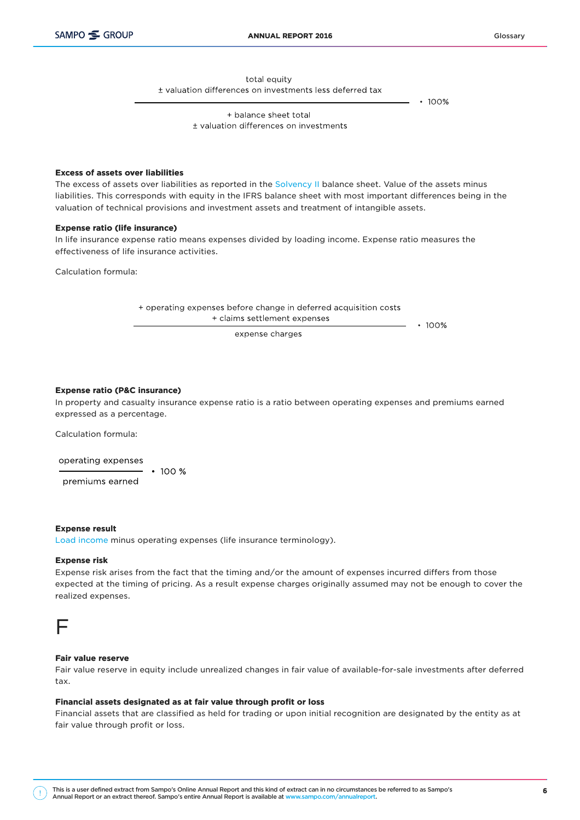total equity

± valuation differences on investments less deferred tax

 $• 100%$ 

+ balance sheet total ± valuation differences on investments

#### Excess of assets over liabilities

The excess of assets over liabilities as reported in the [Solvency II](https://ar2016.sampo.com/en/other-pages/glossary/#Solvency-II) balance sheet. Value of the assets minus liabilities. This corresponds with equity in the IFRS balance sheet with most important differences being in the valuation of technical provisions and investment assets and treatment of intangible assets.

#### Expense ratio (life insurance)

In life insurance expense ratio means expenses divided by loading income. Expense ratio measures the effectiveness of life insurance activities.

Calculation formula:

+ operating expenses before change in deferred acquisition costs + claims settlement expenses

expense charges

 $• 100%$ 

#### Expense ratio (P&C insurance)

In property and casualty insurance expense ratio is a ratio between operating expenses and premiums earned expressed as a percentage.

Calculation formula:

operating expenses  $\cdot$  100 % premiums earned

#### Expense result

[Load income](https://ar2016.sampo.com/en/other-pages/glossary/#Load-income) minus operating expenses (life insurance terminology).

#### Expense risk

Expense risk arises from the fact that the timing and/or the amount of expenses incurred differs from those expected at the timing of pricing. As a result expense charges originally assumed may not be enough to cover the realized expenses.



#### Fair value reserve

Fair value reserve in equity include unrealized changes in fair value of available-for-sale investments after deferred tax.

#### Financial assets designated as at fair value through profit or loss

Financial assets that are classified as held for trading or upon initial recognition are designated by the entity as at fair value through profit or loss.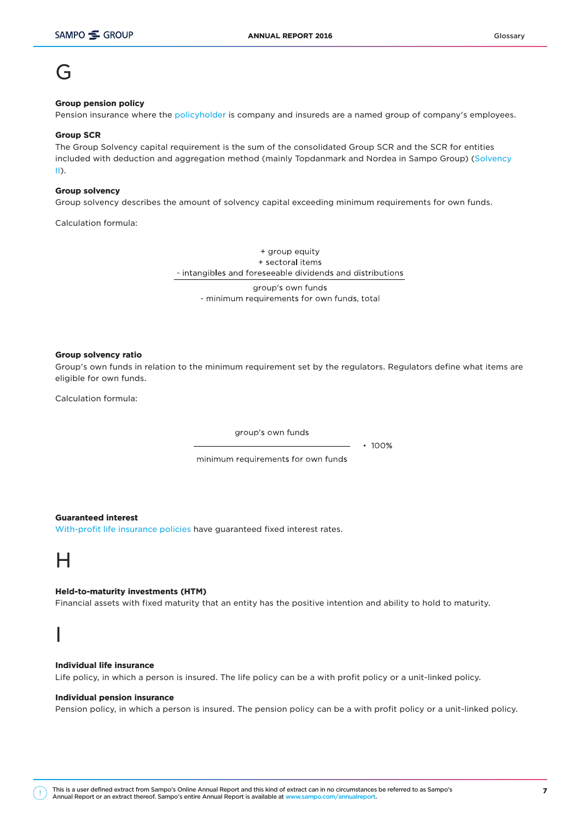### G

#### Group pension policy

Pension insurance where the [policyholder](https://ar2016.sampo.com/en/other-pages/glossary/#Policyholder) is company and insureds are a named group of company's employees.

#### Group SCR

The Group Solvency capital requirement is the sum of the consolidated Group SCR and the SCR for entities included with deduction and aggregation method (mainly Topdanmark and Nordea in Sampo Group) [\(Solvency](https://ar2016.sampo.com/en/other-pages/glossary/#Solvency-II) [II\)](https://ar2016.sampo.com/en/other-pages/glossary/#Solvency-II).

#### Group solvency

Group solvency describes the amount of solvency capital exceeding minimum requirements for own funds.

Calculation formula:

+ group equity + sectoral items - intangibles and foreseeable dividends and distributions

group's own funds - minimum requirements for own funds, total

#### Group solvency ratio

Group's own funds in relation to the minimum requirement set by the regulators. Regulators define what items are eligible for own funds.

Calculation formula:

group's own funds

 $• 100%$ 

minimum requirements for own funds

#### Guaranteed interest

[With-profit life insurance policies](https://ar2016.sampo.com/en/other-pages/glossary/#With-profit-policy) have guaranteed fixed interest rates.

### $\mathsf{H}$

#### Held-to-maturity investments (HTM)

Financial assets with fixed maturity that an entity has the positive intention and ability to hold to maturity.

### I

#### Individual life insurance

Life policy, in which a person is insured. The life policy can be a with profit policy or a unit-linked policy.

#### Individual pension insurance

Pension policy, in which a person is insured. The pension policy can be a with profit policy or a unit-linked policy.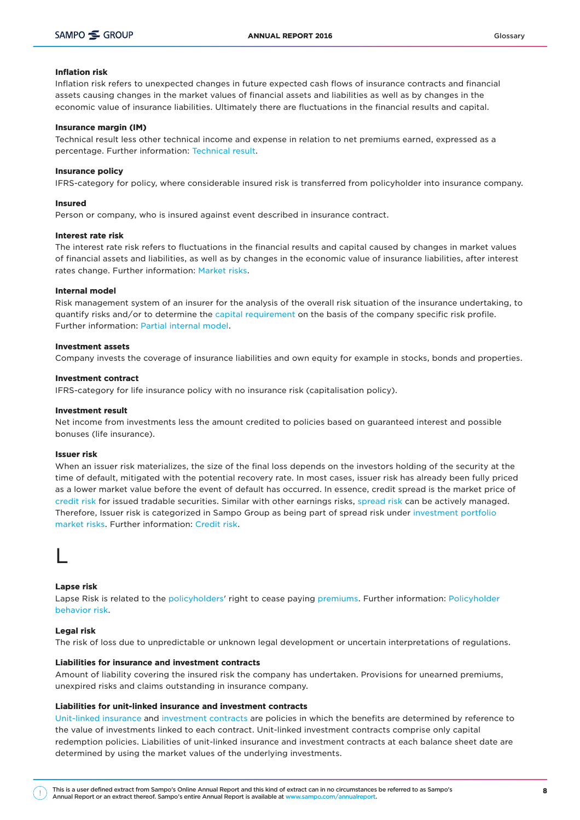#### Inflation risk

Inflation risk refers to unexpected changes in future expected cash flows of insurance contracts and financial assets causing changes in the market values of financial assets and liabilities as well as by changes in the economic value of insurance liabilities. Ultimately there are fluctuations in the financial results and capital.

#### Insurance margin (IM)

Technical result less other technical income and expense in relation to net premiums earned, expressed as a percentage. Further information: [Technical result](https://ar2016.sampo.com/en/other-pages/glossary/#Technical-result).

#### Insurance policy

IFRS-category for policy, where considerable insured risk is transferred from policyholder into insurance company.

#### Insured

Person or company, who is insured against event described in insurance contract.

#### Interest rate risk

The interest rate risk refers to fluctuations in the financial results and capital caused by changes in market values of financial assets and liabilities, as well as by changes in the economic value of insurance liabilities, after interest rates change. Further information: [Market risks.](https://ar2016.sampo.com/en/other-pages/glossary/#Market-risks)

#### Internal model

Risk management system of an insurer for the analysis of the overall risk situation of the insurance undertaking, to quantify risks and/or to determine the [capital requirement](https://ar2016.sampo.com/en/other-pages/glossary/#Solvency-capital-requirement-(SCR)) on the basis of the company specific risk profile. Further information: [Partial internal model](https://ar2016.sampo.com/en/other-pages/glossary/#Partial-internal-model-(PIM)).

#### Investment assets

Company invests the coverage of insurance liabilities and own equity for example in stocks, bonds and properties.

#### Investment contract

IFRS-category for life insurance policy with no insurance risk (capitalisation policy).

#### Investment result

Net income from investments less the amount credited to policies based on guaranteed interest and possible bonuses (life insurance).

#### Issuer risk

When an issuer risk materializes, the size of the final loss depends on the investors holding of the security at the time of default, mitigated with the potential recovery rate. In most cases, issuer risk has already been fully priced as a lower market value before the event of default has occurred. In essence, credit spread is the market price of [credit risk](https://ar2016.sampo.com/en/other-pages/glossary/#Credit-risk) for issued tradable securities. Similar with other earnings risks, [spread risk](https://ar2016.sampo.com/en/other-pages/glossary/#Spread-risk) can be actively managed. Therefore, Issuer risk is categorized in Sampo Group as being part of spread risk under [investment portfolio](https://ar2016.sampo.com/en/other-pages/glossary/#Market-risks) [market risks.](https://ar2016.sampo.com/en/other-pages/glossary/#Market-risks) Further information: [Credit risk.](https://ar2016.sampo.com/en/other-pages/glossary/#Credit-risk)

### L

#### Lapse risk

Lapse Risk is related to the [policyholders](https://ar2016.sampo.com/en/other-pages/glossary/#Policyholder)' right to cease paying [premiums.](https://ar2016.sampo.com/en/other-pages/glossary/#Premium-income) Further information: [Policyholder](https://ar2016.sampo.com/en/other-pages/glossary/#Policyholder-behavior-risk) [behavior risk.](https://ar2016.sampo.com/en/other-pages/glossary/#Policyholder-behavior-risk)

#### Legal risk

The risk of loss due to unpredictable or unknown legal development or uncertain interpretations of regulations.

#### Liabilities for insurance and investment contracts

Amount of liability covering the insured risk the company has undertaken. Provisions for unearned premiums, unexpired risks and claims outstanding in insurance company.

#### Liabilities for unit-linked insurance and investment contracts

[Unit-linked insurance](https://ar2016.sampo.com/en/other-pages/glossary/#Unit-linked-insurance) and [investment contracts](https://ar2016.sampo.com/en/other-pages/glossary/#Investment-contract) are policies in which the benefits are determined by reference to the value of investments linked to each contract. Unit-linked investment contracts comprise only capital redemption policies. Liabilities of unit-linked insurance and investment contracts at each balance sheet date are determined by using the market values of the underlying investments.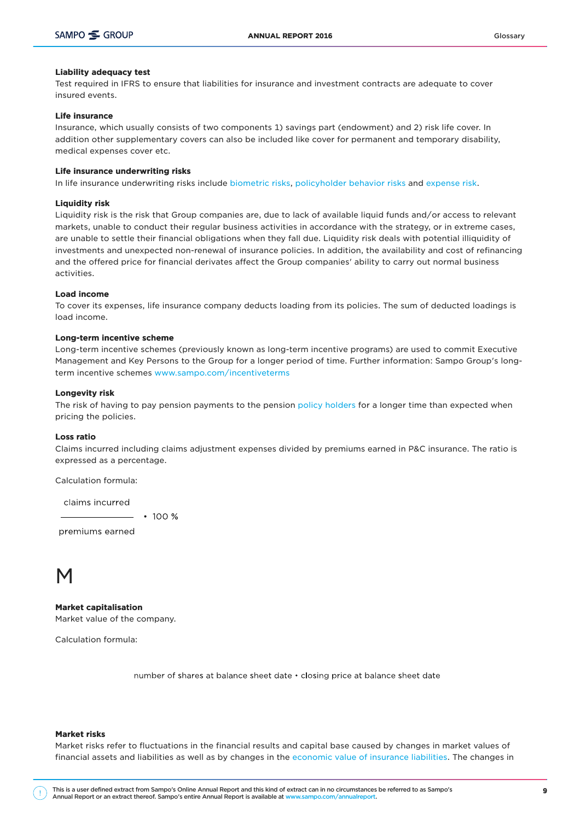#### Liability adequacy test

Test required in IFRS to ensure that liabilities for insurance and investment contracts are adequate to cover insured events.

#### Life insurance

Insurance, which usually consists of two components 1) savings part (endowment) and 2) risk life cover. In addition other supplementary covers can also be included like cover for permanent and temporary disability, medical expenses cover etc.

#### Life insurance underwriting risks

In life insurance underwriting risks include [biometric risks,](https://ar2016.sampo.com/en/other-pages/glossary/#Biometric-risks) [policyholder behavior risks](https://ar2016.sampo.com/en/other-pages/glossary/#Policyholder-behavior-risk) and [expense risk](https://ar2016.sampo.com/en/other-pages/glossary/#Expense-risk).

#### Liquidity risk

Liquidity risk is the risk that Group companies are, due to lack of available liquid funds and/or access to relevant markets, unable to conduct their regular business activities in accordance with the strategy, or in extreme cases, are unable to settle their financial obligations when they fall due. Liquidity risk deals with potential illiquidity of investments and unexpected non-renewal of insurance policies. In addition, the availability and cost of refinancing and the offered price for financial derivates affect the Group companies' ability to carry out normal business activities.

#### Load income

To cover its expenses, life insurance company deducts loading from its policies. The sum of deducted loadings is load income.

#### Long-term incentive scheme

Long-term incentive schemes (previously known as long-term incentive programs) are used to commit Executive Management and Key Persons to the Group for a longer period of time. Further information: Sampo Group's longterm incentive schemes [www.sampo.com/incentiveterms](http://www.sampo.com/incentiveterms)

#### Longevity risk

The risk of having to pay pension payments to the pension [policy holders](https://ar2016.sampo.com/en/other-pages/glossary/#Policyholder) for a longer time than expected when pricing the policies.

#### Loss ratio

Claims incurred including claims adjustment expenses divided by premiums earned in P&C insurance. The ratio is expressed as a percentage.

Calculation formula:

claims incurred

 $\cdot$  100 %

premiums earned

### M

Market capitalisation Market value of the company.

Calculation formula:

number of shares at balance sheet date . closing price at balance sheet date

#### Market risks

Market risks refer to fluctuations in the financial results and capital base caused by changes in market values of financial assets and liabilities as well as by changes in the [economic value of insurance liabilities](https://ar2016.sampo.com/en/other-pages/glossary/#Economic-value-of-insurance-liabilities). The changes in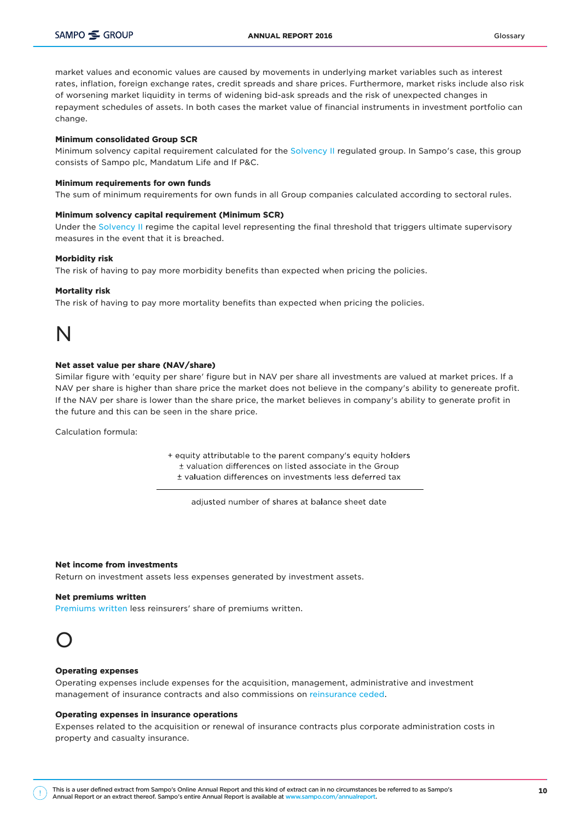market values and economic values are caused by movements in underlying market variables such as interest rates, inflation, foreign exchange rates, credit spreads and share prices. Furthermore, market risks include also risk of worsening market liquidity in terms of widening bid-ask spreads and the risk of unexpected changes in repayment schedules of assets. In both cases the market value of financial instruments in investment portfolio can change.

#### Minimum consolidated Group SCR

Minimum solvency capital requirement calculated for the [Solvency II](https://ar2016.sampo.com/en/other-pages/glossary/#Solvency-II) regulated group. In Sampo's case, this group consists of Sampo plc, Mandatum Life and If P&C.

#### Minimum requirements for own funds

The sum of minimum requirements for own funds in all Group companies calculated according to sectoral rules.

#### Minimum solvency capital requirement (Minimum SCR)

Under the [Solvency II](https://ar2016.sampo.com/en/other-pages/glossary/#Solvency-II) regime the capital level representing the final threshold that triggers ultimate supervisory measures in the event that it is breached.

#### Morbidity risk

The risk of having to pay more morbidity benefits than expected when pricing the policies.

#### Mortality risk

The risk of having to pay more mortality benefits than expected when pricing the policies.

### N

#### Net asset value per share (NAV/share)

Similar figure with 'equity per share' figure but in NAV per share all investments are valued at market prices. If a NAV per share is higher than share price the market does not believe in the company's ability to genereate profit. If the NAV per share is lower than the share price, the market believes in company's ability to generate profit in the future and this can be seen in the share price.

Calculation formula:

+ equity attributable to the parent company's equity holders ± valuation differences on listed associate in the Group + valuation differences on investments less deferred tax

adjusted number of shares at balance sheet date

#### Net income from investments

Return on investment assets less expenses generated by investment assets.

#### Net premiums written

[Premiums written](https://ar2016.sampo.com/en/other-pages/glossary/#Premiums-written) less reinsurers' share of premiums written.



#### Operating expenses

Operating expenses include expenses for the acquisition, management, administrative and investment management of insurance contracts and also commissions on [reinsurance ceded](https://ar2016.sampo.com/en/other-pages/glossary/#Ceded-reinsurance).

#### Operating expenses in insurance operations

Expenses related to the acquisition or renewal of insurance contracts plus corporate administration costs in property and casualty insurance.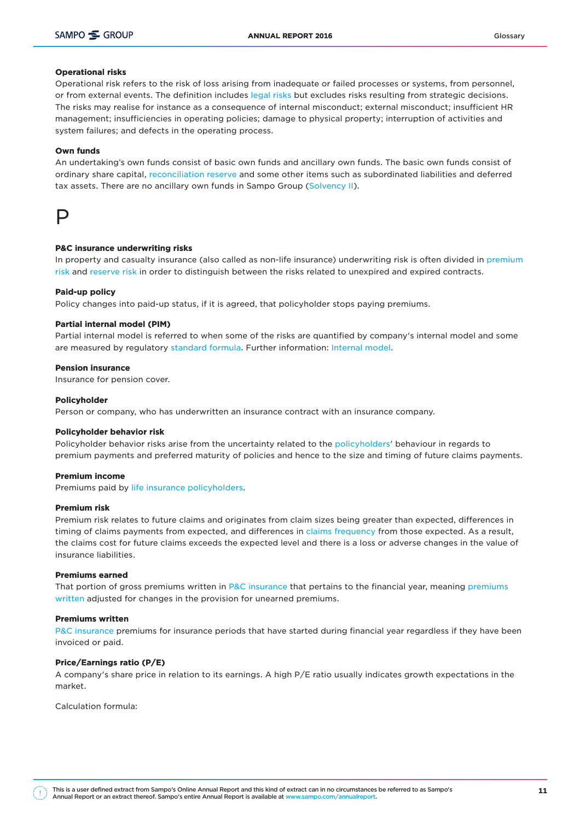#### Operational risks

Operational risk refers to the risk of loss arising from inadequate or failed processes or systems, from personnel, or from external events. The definition includes [legal risks](https://ar2016.sampo.com/en/other-pages/glossary/#Legal-risk) but excludes risks resulting from strategic decisions. The risks may realise for instance as a consequence of internal misconduct; external misconduct; insufficient HR management; insufficiencies in operating policies; damage to physical property; interruption of activities and system failures; and defects in the operating process.

#### Own funds

An undertaking's own funds consist of basic own funds and ancillary own funds. The basic own funds consist of ordinary share capital, [reconciliation reserve](https://ar2016.sampo.com/en/other-pages/glossary/#Reconciliation-reserve) and some other items such as subordinated liabilities and deferred tax assets. There are no ancillary own funds in Sampo Group [\(Solvency II\)](https://ar2016.sampo.com/en/other-pages/glossary/#Solvency-II).



#### P&C insurance underwriting risks

In property and casualty insurance (also called as non-life insurance) underwriting risk is often divided in [premium](https://ar2016.sampo.com/en/other-pages/glossary/#Premium-risk) [risk](https://ar2016.sampo.com/en/other-pages/glossary/#Premium-risk) and [reserve risk](https://ar2016.sampo.com/en/other-pages/glossary/#Reserve-risk) in order to distinguish between the risks related to unexpired and expired contracts.

#### Paid-up policy

Policy changes into paid-up status, if it is agreed, that policyholder stops paying premiums.

#### Partial internal model (PIM)

Partial internal model is referred to when some of the risks are quantified by company's internal model and some are measured by regulatory [standard formula](https://ar2016.sampo.com/en/other-pages/glossary/#Standard-formula). Further information: [Internal model.](https://ar2016.sampo.com/en/other-pages/glossary/#Internal-model)

#### Pension insurance

Insurance for pension cover.

#### Policyholder

Person or company, who has underwritten an insurance contract with an insurance company.

#### Policyholder behavior risk

Policyholder behavior risks arise from the uncertainty related to the [policyholders](https://ar2016.sampo.com/en/other-pages/glossary/#Policyholder)' behaviour in regards to premium payments and preferred maturity of policies and hence to the size and timing of future claims payments.

#### Premium income

Premiums paid by [life insurance](https://ar2016.sampo.com/en/other-pages/glossary/#Life-insurance) [policyholders](https://ar2016.sampo.com/en/other-pages/glossary/#Policyholder).

#### Premium risk

Premium risk relates to future claims and originates from claim sizes being greater than expected, differences in timing of claims payments from expected, and differences in [claims frequency](https://ar2016.sampo.com/en/other-pages/glossary/#Claims-frequency) from those expected. As a result, the claims cost for future claims exceeds the expected level and there is a loss or adverse changes in the value of insurance liabilities.

#### Premiums earned

That portion of gross premiums written in [P&C insurance](https://ar2016.sampo.com/en/other-pages/glossary/#Property-and-casualty-insurance) that pertains to the financial year, meaning [premiums](https://ar2016.sampo.com/en/other-pages/glossary/#Premiums-written) [written](https://ar2016.sampo.com/en/other-pages/glossary/#Premiums-written) adjusted for changes in the provision for unearned premiums.

#### Premiums written

[P&C insurance](https://ar2016.sampo.com/en/other-pages/glossary/#Property-and-casualty-insurance) premiums for insurance periods that have started during financial year regardless if they have been invoiced or paid.

#### Price/Earnings ratio (P/E)

A company's share price in relation to its earnings. A high P/E ratio usually indicates growth expectations in the market.

Calculation formula: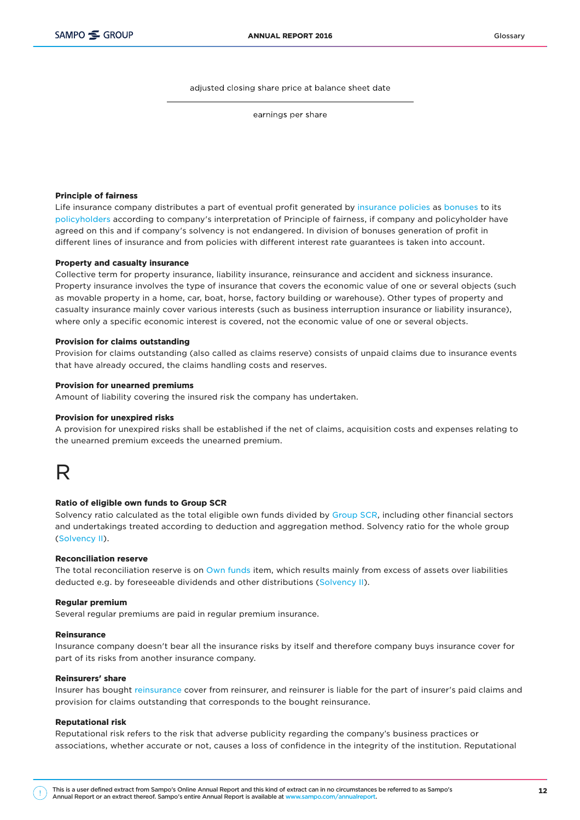adjusted closing share price at balance sheet date

earnings per share

#### Principle of fairness

Life insurance company distributes a part of eventual profit generated by [insurance policies](https://ar2016.sampo.com/en/other-pages/glossary/#Insurance-policy) as [bonuses](https://ar2016.sampo.com/en/other-pages/glossary/#Bonuses) to its [policyholders](https://ar2016.sampo.com/en/other-pages/glossary/#Policyholder) according to company's interpretation of Principle of fairness, if company and policyholder have agreed on this and if company's solvency is not endangered. In division of bonuses generation of profit in different lines of insurance and from policies with different interest rate guarantees is taken into account.

#### Property and casualty insurance

Collective term for property insurance, liability insurance, reinsurance and accident and sickness insurance. Property insurance involves the type of insurance that covers the economic value of one or several objects (such as movable property in a home, car, boat, horse, factory building or warehouse). Other types of property and casualty insurance mainly cover various interests (such as business interruption insurance or liability insurance), where only a specific economic interest is covered, not the economic value of one or several objects.

#### Provision for claims outstanding

Provision for claims outstanding (also called as claims reserve) consists of unpaid claims due to insurance events that have already occured, the claims handling costs and reserves.

#### Provision for unearned premiums

Amount of liability covering the insured risk the company has undertaken.

#### Provision for unexpired risks

A provision for unexpired risks shall be established if the net of claims, acquisition costs and expenses relating to the unearned premium exceeds the unearned premium.

### R

#### Ratio of eligible own funds to Group SCR

Solvency ratio calculated as the total eligible own funds divided by [Group SCR](https://ar2016.sampo.com/en/other-pages/glossary/#Group-SCR), including other financial sectors and undertakings treated according to deduction and aggregation method. Solvency ratio for the whole group [\(Solvency II\)](https://ar2016.sampo.com/en/other-pages/glossary/#Solvency-II).

#### Reconciliation reserve

The total reconciliation reserve is on [Own funds](https://ar2016.sampo.com/en/other-pages/glossary/#Own-funds) item, which results mainly from excess of assets over liabilities deducted e.g. by foreseeable dividends and other distributions ([Solvency II](https://ar2016.sampo.com/en/other-pages/glossary/#Solvency-II)).

#### Regular premium

Several regular premiums are paid in regular premium insurance.

#### Reinsurance

Insurance company doesn't bear all the insurance risks by itself and therefore company buys insurance cover for part of its risks from another insurance company.

#### Reinsurers' share

Insurer has bought [reinsurance](https://ar2016.sampo.com/en/other-pages/glossary/#Reinsurance) cover from reinsurer, and reinsurer is liable for the part of insurer's paid claims and provision for claims outstanding that corresponds to the bought reinsurance.

#### Reputational risk

Reputational risk refers to the risk that adverse publicity regarding the company's business practices or associations, whether accurate or not, causes a loss of confidence in the integrity of the institution. Reputational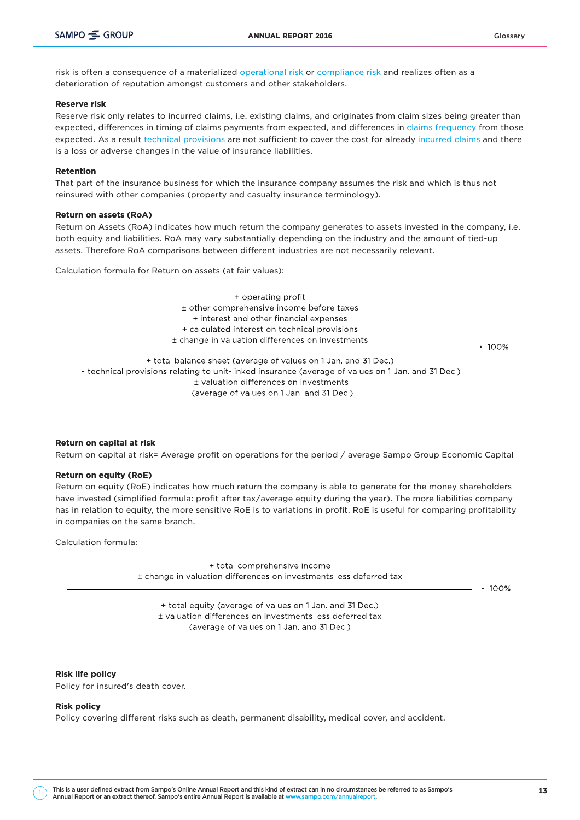risk is often a consequence of a materialized [operational risk](https://ar2016.sampo.com/en/other-pages/glossary/#Operational-risks) or [compliance risk](https://ar2016.sampo.com/en/other-pages/glossary/#Compliance-risk) and realizes often as a deterioration of reputation amongst customers and other stakeholders.

#### Reserve risk

Reserve risk only relates to incurred claims, i.e. existing claims, and originates from claim sizes being greater than expected, differences in timing of claims payments from expected, and differences in [claims frequency](https://ar2016.sampo.com/en/other-pages/glossary/#Claims-frequency) from those expected. As a result [technical provisions](https://ar2016.sampo.com/en/other-pages/glossary/#Technical-provisions) are not sufficient to cover the cost for already [incurred claims](https://ar2016.sampo.com/en/other-pages/glossary/#Claims-incurred) and there is a loss or adverse changes in the value of insurance liabilities.

#### Retention

That part of the insurance business for which the insurance company assumes the risk and which is thus not reinsured with other companies (property and casualty insurance terminology).

#### Return on assets (RoA)

Return on Assets (RoA) indicates how much return the company generates to assets invested in the company, i.e. both equity and liabilities. RoA may vary substantially depending on the industry and the amount of tied-up assets. Therefore RoA comparisons between different industries are not necessarily relevant.

Calculation formula for Return on assets (at fair values):

| + operating profit                               |         |
|--------------------------------------------------|---------|
| ± other comprehensive income before taxes        |         |
| + interest and other financial expenses          |         |
| + calculated interest on technical provisions    |         |
| ± change in valuation differences on investments |         |
|                                                  | $100\%$ |

+ total balance sheet (average of values on 1 Jan. and 31 Dec.) - technical provisions relating to unit-linked insurance (average of values on 1 Jan. and 31 Dec.) ± valuation differences on investments (average of values on 1 Jan. and 31 Dec.)

#### Return on capital at risk

Return on capital at risk= Average profit on operations for the period / average Sampo Group Economic Capital

#### Return on equity (RoE)

Return on equity (RoE) indicates how much return the company is able to generate for the money shareholders have invested (simplified formula: profit after tax/average equity during the year). The more liabilities company has in relation to equity, the more sensitive RoE is to variations in profit. RoE is useful for comparing profitability in companies on the same branch.

Calculation formula:

+ total comprehensive income ± change in valuation differences on investments less deferred tax

 $\cdot$  100%

+ total equity (average of values on 1 Jan. and 31 Dec.) ± valuation differences on investments less deferred tax (average of values on 1 Jan. and 31 Dec.)

Risk life policy Policy for insured's death cover.

#### Risk policy

Policy covering different risks such as death, permanent disability, medical cover, and accident.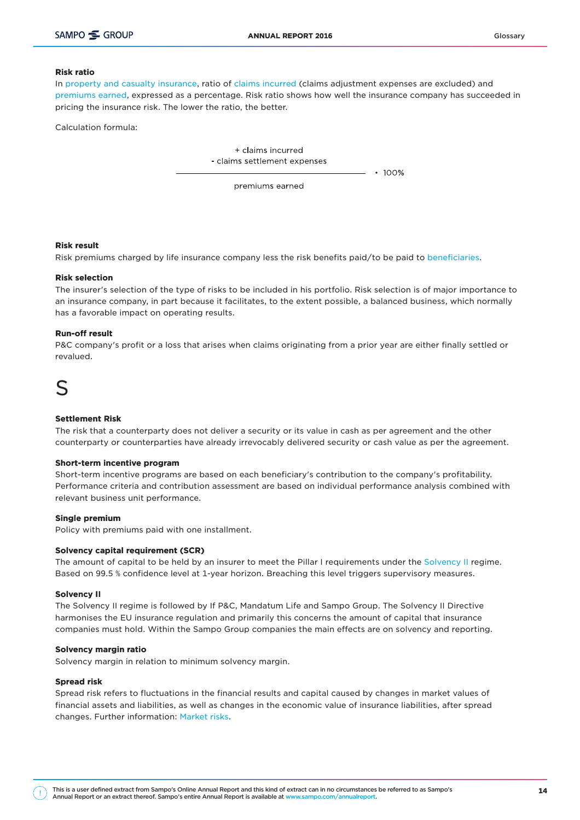#### Risk ratio

In [property and casualty insurance,](https://ar2016.sampo.com/en/other-pages/glossary/#Property-and-casualty-insurance) ratio of [claims incurred](https://ar2016.sampo.com/en/other-pages/glossary/#Claims-incurred) (claims adjustment expenses are excluded) and [premiums earned](https://ar2016.sampo.com/en/other-pages/glossary/#Premiums-earned), expressed as a percentage. Risk ratio shows how well the insurance company has succeeded in pricing the insurance risk. The lower the ratio, the better.

Calculation formula:

+ claims incurred - claims settlement expenses

 $• 100%$ 

premiums earned

#### Risk result

Risk premiums charged by life insurance company less the risk benefits paid/to be paid to [beneficiaries.](https://ar2016.sampo.com/en/other-pages/glossary/#Beneficiary)

#### Risk selection

The insurer's selection of the type of risks to be included in his portfolio. Risk selection is of major importance to an insurance company, in part because it facilitates, to the extent possible, a balanced business, which normally has a favorable impact on operating results.

#### Run-off result

P&C company's profit or a loss that arises when claims originating from a prior year are either finally settled or revalued.

### S

#### Settlement Risk

The risk that a counterparty does not deliver a security or its value in cash as per agreement and the other counterparty or counterparties have already irrevocably delivered security or cash value as per the agreement.

#### Short-term incentive program

Short-term incentive programs are based on each beneficiary's contribution to the company's profitability. Performance criteria and contribution assessment are based on individual performance analysis combined with relevant business unit performance.

#### Single premium

Policy with premiums paid with one installment.

#### Solvency capital requirement (SCR)

The amount of capital to be held by an insurer to meet the Pillar I requirements under the [Solvency II](https://ar2016.sampo.com/en/other-pages/glossary/#Solvency-II) regime. Based on 99.5 % confidence level at 1-year horizon. Breaching this level triggers supervisory measures.

#### Solvency II

The Solvency II regime is followed by If P&C, Mandatum Life and Sampo Group. The Solvency II Directive harmonises the EU insurance regulation and primarily this concerns the amount of capital that insurance companies must hold. Within the Sampo Group companies the main effects are on solvency and reporting.

#### Solvency margin ratio

Solvency margin in relation to minimum solvency margin.

#### Spread risk

Spread risk refers to fluctuations in the financial results and capital caused by changes in market values of financial assets and liabilities, as well as changes in the economic value of insurance liabilities, after spread changes. Further information: [Market risks.](https://ar2016.sampo.com/en/other-pages/glossary/#Market-risks)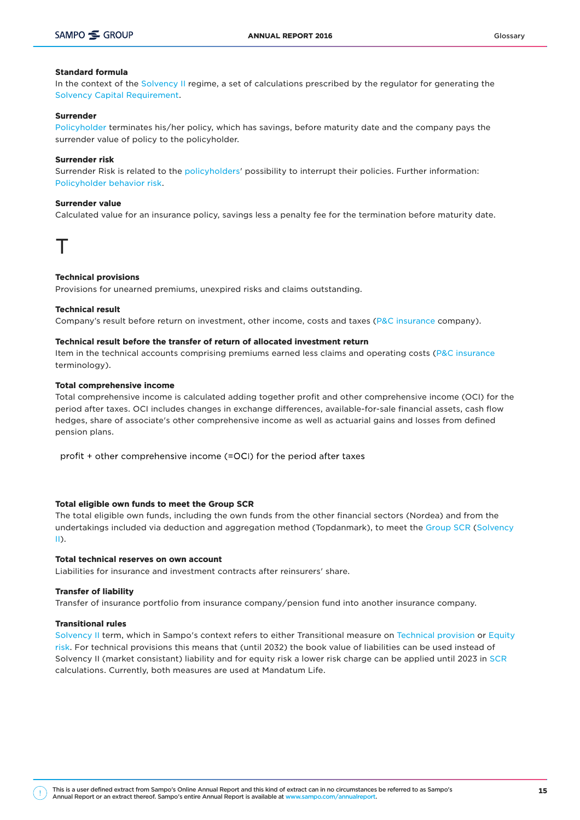#### Standard formula

In the context of the [Solvency II](https://ar2016.sampo.com/en/other-pages/glossary/#Solvency-II) regime, a set of calculations prescribed by the regulator for generating the [Solvency Capital Requirement](https://ar2016.sampo.com/en/other-pages/glossary/#Solvency-capital-requirement-(SCR)).

#### Surrender

[Policyholder](https://ar2016.sampo.com/en/other-pages/glossary/#Policyholder) terminates his/her policy, which has savings, before maturity date and the company pays the surrender value of policy to the policyholder.

#### Surrender risk

Surrender Risk is related to the [policyholders](https://ar2016.sampo.com/en/other-pages/glossary/#Policyholder)' possibility to interrupt their policies. Further information: [Policyholder behavior risk.](https://ar2016.sampo.com/en/other-pages/glossary/#Policyholder-behavior-risk)

#### Surrender value

Calculated value for an insurance policy, savings less a penalty fee for the termination before maturity date.

### T

#### Technical provisions

Provisions for unearned premiums, unexpired risks and claims outstanding.

#### Technical result

Company's result before return on investment, other income, costs and taxes [\(P&C insurance](https://ar2016.sampo.com/en/other-pages/glossary/#Property-and-casualty-insurance) company).

#### Technical result before the transfer of return of allocated investment return

Item in the technical accounts comprising premiums earned less claims and operating costs ([P&C insurance](https://ar2016.sampo.com/en/other-pages/glossary/#Property-and-casualty-insurance) terminology).

#### Total comprehensive income

Total comprehensive income is calculated adding together profit and other comprehensive income (OCI) for the period after taxes. OCI includes changes in exchange differences, available-for-sale financial assets, cash flow hedges, share of associate's other comprehensive income as well as actuarial gains and losses from defined pension plans.

profit + other comprehensive income (=OCI) for the period after taxes

#### Total eligible own funds to meet the Group SCR

The total eligible own funds, including the own funds from the other financial sectors (Nordea) and from the undertakings included via deduction and aggregation method (Topdanmark), to meet the [Group SCR](https://ar2016.sampo.com/en/other-pages/glossary/#Group-SCR) [\(Solvency](https://ar2016.sampo.com/en/other-pages/glossary/#Solvency-II) [II\)](https://ar2016.sampo.com/en/other-pages/glossary/#Solvency-II).

#### Total technical reserves on own account

Liabilities for insurance and investment contracts after reinsurers' share.

#### Transfer of liability

Transfer of insurance portfolio from insurance company/pension fund into another insurance company.

#### Transitional rules

[Solvency II](https://ar2016.sampo.com/en/other-pages/glossary/#Solvency-II) term, which in Sampo's context refers to either Transitional measure on [Technical provision](https://ar2016.sampo.com/en/other-pages/glossary/#Technical-provisions) or [Equity](https://ar2016.sampo.com/en/other-pages/glossary/#Equity-risk) [risk.](https://ar2016.sampo.com/en/other-pages/glossary/#Equity-risk) For technical provisions this means that (until 2032) the book value of liabilities can be used instead of Solvency II (market consistant) liability and for equity risk a lower risk charge can be applied until 2023 in [SCR](https://ar2016.sampo.com/en/other-pages/glossary/#Solvency-capital-requirement-(SCR)) calculations. Currently, both measures are used at Mandatum Life.